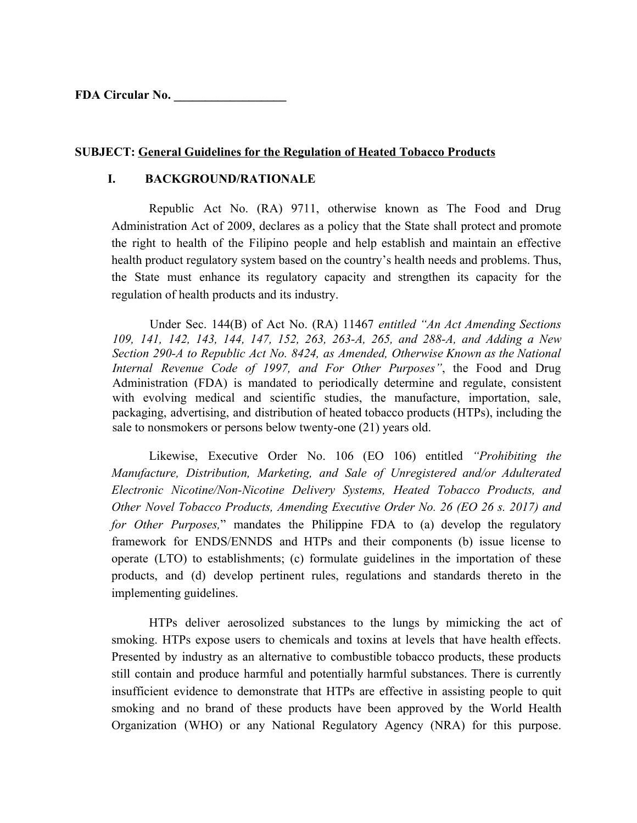**FDA Circular No. \_\_\_\_\_\_\_\_\_\_\_\_\_\_\_\_\_\_**

### **SUBJECT: General Guidelines for the Regulation of Heated Tobacco Products**

#### **I. BACKGROUND/RATIONALE**

Republic Act No. (RA) 9711, otherwise known as The Food and Drug Administration Act of 2009, declares as a policy that the State shall protect and promote the right to health of the Filipino people and help establish and maintain an effective health product regulatory system based on the country's health needs and problems. Thus, the State must enhance its regulatory capacity and strengthen its capacity for the regulation of health products and its industry.

Under Sec. 144(B) of Act No. (RA) 11467 *entitled "An Act Amending Sections 109, 141, 142, 143, 144, 147, 152, 263, 263-A, 265, and 288-A, and Adding a New Section 290-A to Republic Act No. 8424, as Amended, Otherwise Known as the National Internal Revenue Code of 1997, and For Other Purposes"*, the Food and Drug Administration (FDA) is mandated to periodically determine and regulate, consistent with evolving medical and scientific studies, the manufacture, importation, sale, packaging, advertising, and distribution of heated tobacco products (HTPs), including the sale to nonsmokers or persons below twenty-one (21) years old.

Likewise, Executive Order No. 106 (EO 106) entitled *"Prohibiting the Manufacture, Distribution, Marketing, and Sale of Unregistered and/or Adulterated Electronic Nicotine/Non-Nicotine Delivery Systems, Heated Tobacco Products, and Other Novel Tobacco Products, Amending Executive Order No. 26 (EO 26 s. 2017) and for Other Purposes,*" mandates the Philippine FDA to (a) develop the regulatory framework for ENDS/ENNDS and HTPs and their components (b) issue license to operate (LTO) to establishments; (c) formulate guidelines in the importation of these products, and (d) develop pertinent rules, regulations and standards thereto in the implementing guidelines.

HTPs deliver aerosolized substances to the lungs by mimicking the act of smoking. HTPs expose users to chemicals and toxins at levels that have health effects. Presented by industry as an alternative to combustible tobacco products, these products still contain and produce harmful and potentially harmful substances. There is currently insufficient evidence to demonstrate that HTPs are effective in assisting people to quit smoking and no brand of these products have been approved by the World Health Organization (WHO) or any National Regulatory Agency (NRA) for this purpose.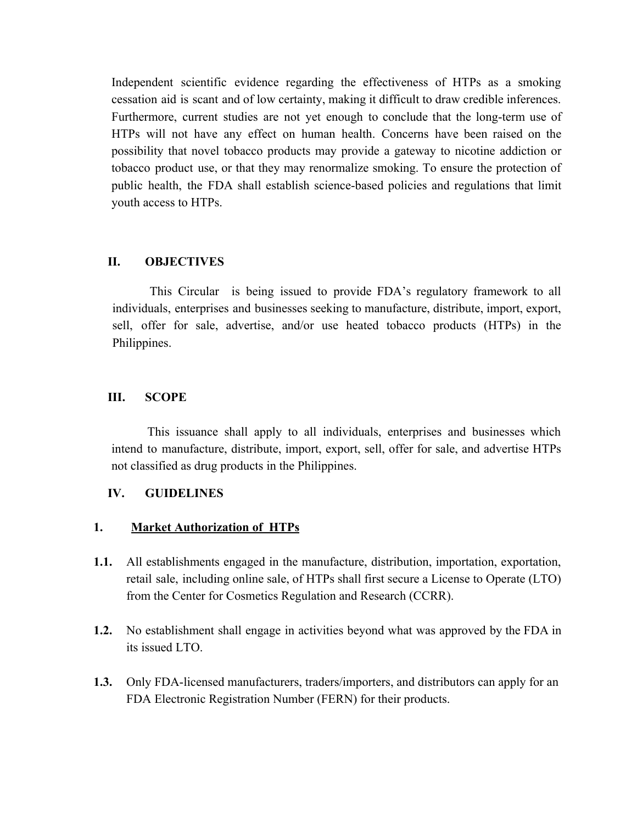Independent scientific evidence regarding the effectiveness of HTPs as a smoking cessation aid is scant and of low certainty, making it difficult to draw credible inferences. Furthermore, current studies are not yet enough to conclude that the long-term use of HTPs will not have any effect on human health. Concerns have been raised on the possibility that novel tobacco products may provide a gateway to nicotine addiction or tobacco product use, or that they may renormalize smoking. To ensure the protection of public health, the FDA shall establish science-based policies and regulations that limit youth access to HTPs.

### **II. OBJECTIVES**

This Circular is being issued to provide FDA's regulatory framework to all individuals, enterprises and businesses seeking to manufacture, distribute, import, export, sell, offer for sale, advertise, and/or use heated tobacco products (HTPs) in the Philippines.

### **III. SCOPE**

This issuance shall apply to all individuals, enterprises and businesses which intend to manufacture, distribute, import, export, sell, offer for sale, and advertise HTPs not classified as drug products in the Philippines.

#### **IV. GUIDELINES**

#### **1. Market Authorization of HTPs**

- **1.1.** All establishments engaged in the manufacture, distribution, importation, exportation, retail sale, including online sale, of HTPs shall first secure a License to Operate (LTO) from the Center for Cosmetics Regulation and Research (CCRR).
- **1.2.** No establishment shall engage in activities beyond what was approved by the FDA in its issued LTO.
- **1.3.** Only FDA-licensed manufacturers, traders/importers, and distributors can apply for an FDA Electronic Registration Number (FERN) for their products.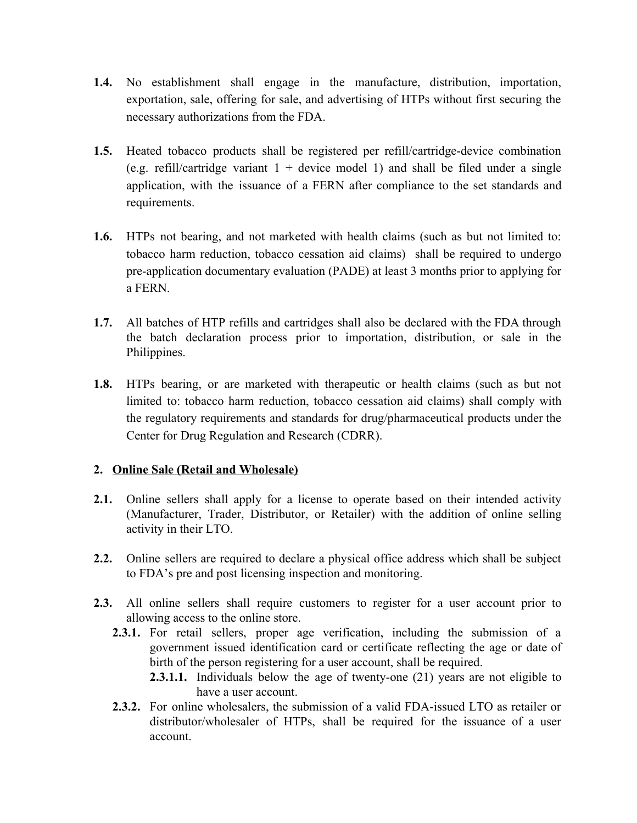- **1.4.** No establishment shall engage in the manufacture, distribution, importation, exportation, sale, offering for sale, and advertising of HTPs without first securing the necessary authorizations from the FDA.
- **1.5.** Heated tobacco products shall be registered per refill/cartridge-device combination (e.g. refill/cartridge variant  $1 +$  device model 1) and shall be filed under a single application, with the issuance of a FERN after compliance to the set standards and requirements.
- **1.6.** HTPs not bearing, and not marketed with health claims (such as but not limited to: tobacco harm reduction, tobacco cessation aid claims) shall be required to undergo pre-application documentary evaluation (PADE) at least 3 months prior to applying for a FERN.
- **1.7.** All batches of HTP refills and cartridges shall also be declared with the FDA through the batch declaration process prior to importation, distribution, or sale in the Philippines.
- **1.8.** HTPs bearing, or are marketed with therapeutic or health claims (such as but not limited to: tobacco harm reduction, tobacco cessation aid claims) shall comply with the regulatory requirements and standards for drug/pharmaceutical products under the Center for Drug Regulation and Research (CDRR).

## **2. Online Sale (Retail and Wholesale)**

- **2.1.** Online sellers shall apply for a license to operate based on their intended activity (Manufacturer, Trader, Distributor, or Retailer) with the addition of online selling activity in their LTO.
- **2.2.** Online sellers are required to declare a physical office address which shall be subject to FDA's pre and post licensing inspection and monitoring.
- **2.3.** All online sellers shall require customers to register for a user account prior to allowing access to the online store.
	- **2.3.1.** For retail sellers, proper age verification, including the submission of a government issued identification card or certificate reflecting the age or date of birth of the person registering for a user account, shall be required.
		- **2.3.1.1.** Individuals below the age of twenty-one (21) years are not eligible to have a user account.
	- **2.3.2.** For online wholesalers, the submission of a valid FDA-issued LTO as retailer or distributor/wholesaler of HTPs, shall be required for the issuance of a user account.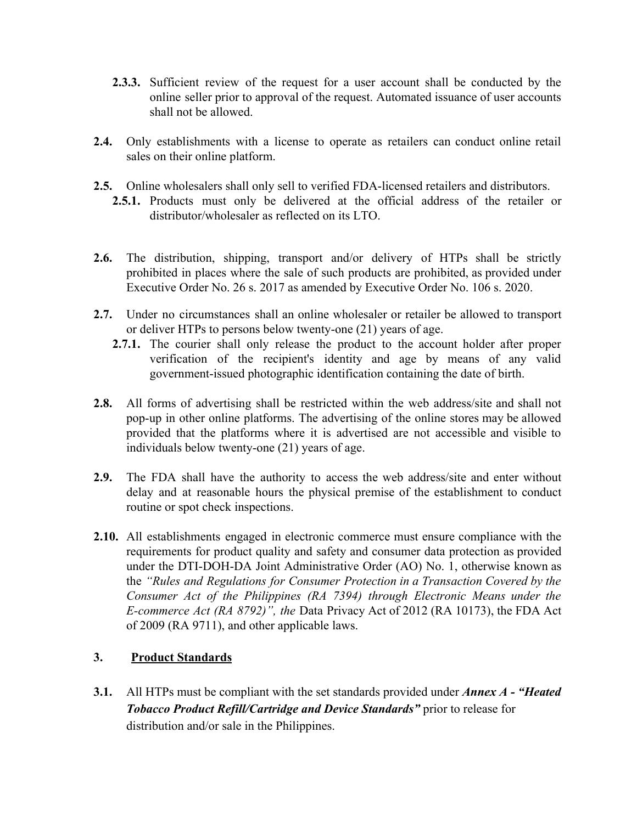- **2.3.3.** Sufficient review of the request for a user account shall be conducted by the online seller prior to approval of the request. Automated issuance of user accounts shall not be allowed.
- **2.4.** Only establishments with a license to operate as retailers can conduct online retail sales on their online platform.
- **2.5.** Online wholesalers shall only sell to verified FDA-licensed retailers and distributors.
	- **2.5.1.** Products must only be delivered at the official address of the retailer or distributor/wholesaler as reflected on its LTO.
- **2.6.** The distribution, shipping, transport and/or delivery of HTPs shall be strictly prohibited in places where the sale of such products are prohibited, as provided under Executive Order No. 26 s. 2017 as amended by Executive Order No. 106 s. 2020.
- **2.7.** Under no circumstances shall an online wholesaler or retailer be allowed to transport or deliver HTPs to persons below twenty-one (21) years of age.
	- **2.7.1.** The courier shall only release the product to the account holder after proper verification of the recipient's identity and age by means of any valid government-issued photographic identification containing the date of birth.
- **2.8.** All forms of advertising shall be restricted within the web address/site and shall not pop-up in other online platforms. The advertising of the online stores may be allowed provided that the platforms where it is advertised are not accessible and visible to individuals below twenty-one (21) years of age.
- **2.9.** The FDA shall have the authority to access the web address/site and enter without delay and at reasonable hours the physical premise of the establishment to conduct routine or spot check inspections.
- **2.10.** All establishments engaged in electronic commerce must ensure compliance with the requirements for product quality and safety and consumer data protection as provided under the DTI-DOH-DA Joint Administrative Order (AO) No. 1, otherwise known as the *"Rules and Regulations for Consumer Protection in a Transaction Covered by the Consumer Act of the Philippines (RA 7394) through Electronic Means under the E-commerce Act (RA 8792)", the* Data Privacy Act of 2012 (RA 10173), the FDA Act of 2009 (RA 9711), and other applicable laws.

# **3. Product Standards**

**3.1.** All HTPs must be compliant with the set standards provided under *Annex A - "Heated Tobacco Product Refill/Cartridge and Device Standards"* prior to release for distribution and/or sale in the Philippines.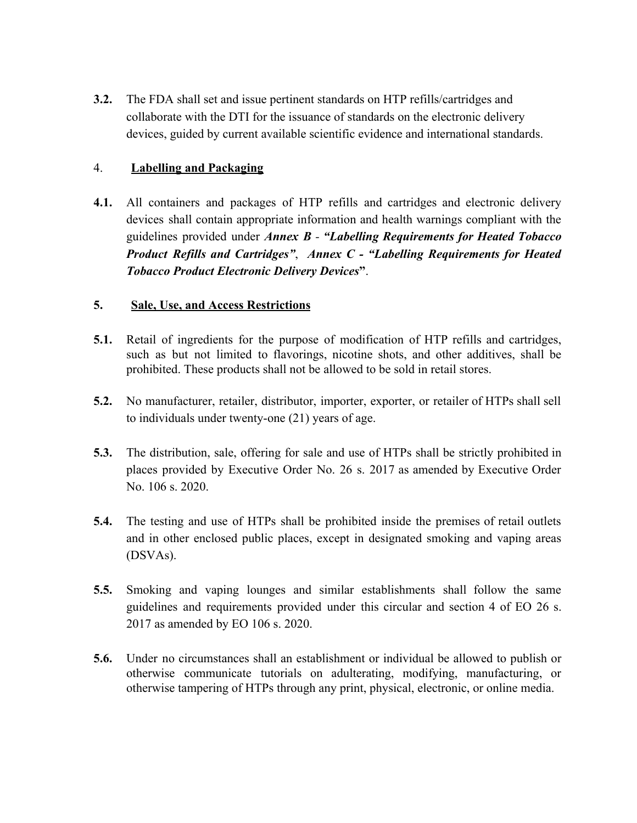**3.2.** The FDA shall set and issue pertinent standards on HTP refills/cartridges and collaborate with the DTI for the issuance of standards on the electronic delivery devices, guided by current available scientific evidence and international standards.

# 4. **Labelling and Packaging**

**4.1.** All containers and packages of HTP refills and cartridges and electronic delivery devices shall contain appropriate information and health warnings compliant with the guidelines provided under *Annex B - "Labelling Requirements for Heated Tobacco Product Refills and Cartridges"*, *Annex C - "Labelling Requirements for Heated Tobacco Product Electronic Delivery Devices***"**.

# **5. Sale, Use, and Access Restrictions**

- **5.1.** Retail of ingredients for the purpose of modification of HTP refills and cartridges, such as but not limited to flavorings, nicotine shots, and other additives, shall be prohibited. These products shall not be allowed to be sold in retail stores.
- **5.2.** No manufacturer, retailer, distributor, importer, exporter, or retailer of HTPs shall sell to individuals under twenty-one (21) years of age.
- **5.3.** The distribution, sale, offering for sale and use of HTPs shall be strictly prohibited in places provided by Executive Order No. 26 s. 2017 as amended by Executive Order No. 106 s. 2020.
- **5.4.** The testing and use of HTPs shall be prohibited inside the premises of retail outlets and in other enclosed public places, except in designated smoking and vaping areas (DSVAs).
- **5.5.** Smoking and vaping lounges and similar establishments shall follow the same guidelines and requirements provided under this circular and section 4 of EO 26 s. 2017 as amended by EO 106 s. 2020.
- **5.6.** Under no circumstances shall an establishment or individual be allowed to publish or otherwise communicate tutorials on adulterating, modifying, manufacturing, or otherwise tampering of HTPs through any print, physical, electronic, or online media.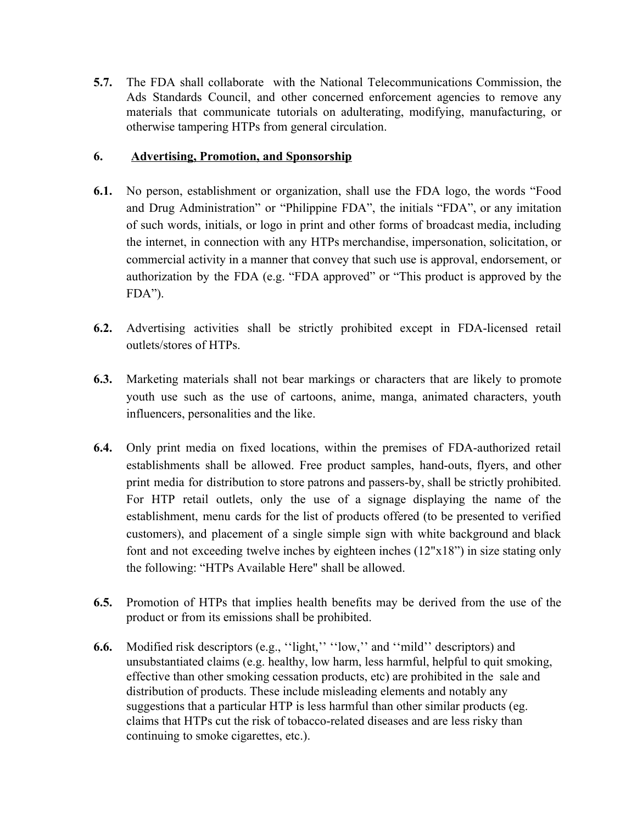**5.7.** The FDA shall collaborate with the National Telecommunications Commission, the Ads Standards Council, and other concerned enforcement agencies to remove any materials that communicate tutorials on adulterating, modifying, manufacturing, or otherwise tampering HTPs from general circulation.

# **6. Advertising, Promotion, and Sponsorship**

- **6.1.** No person, establishment or organization, shall use the FDA logo, the words "Food and Drug Administration" or "Philippine FDA", the initials "FDA", or any imitation of such words, initials, or logo in print and other forms of broadcast media, including the internet, in connection with any HTPs merchandise, impersonation, solicitation, or commercial activity in a manner that convey that such use is approval, endorsement, or authorization by the FDA (e.g. "FDA approved" or "This product is approved by the FDA").
- **6.2.** Advertising activities shall be strictly prohibited except in FDA-licensed retail outlets/stores of HTPs.
- **6.3.** Marketing materials shall not bear markings or characters that are likely to promote youth use such as the use of cartoons, anime, manga, animated characters, youth influencers, personalities and the like.
- **6.4.** Only print media on fixed locations, within the premises of FDA-authorized retail establishments shall be allowed. Free product samples, hand-outs, flyers, and other print media for distribution to store patrons and passers-by, shall be strictly prohibited. For HTP retail outlets, only the use of a signage displaying the name of the establishment, menu cards for the list of products offered (to be presented to verified customers), and placement of a single simple sign with white background and black font and not exceeding twelve inches by eighteen inches (12"x18") in size stating only the following: "HTPs Available Here" shall be allowed.
- **6.5.** Promotion of HTPs that implies health benefits may be derived from the use of the product or from its emissions shall be prohibited.
- **6.6.** Modified risk descriptors (e.g., "light," "low," and "mild" descriptors) and unsubstantiated claims (e.g. healthy, low harm, less harmful, helpful to quit smoking, effective than other smoking cessation products, etc) are prohibited in the sale and distribution of products. These include misleading elements and notably any suggestions that a particular HTP is less harmful than other similar products (eg. claims that HTPs cut the risk of tobacco-related diseases and are less risky than continuing to smoke cigarettes, etc.).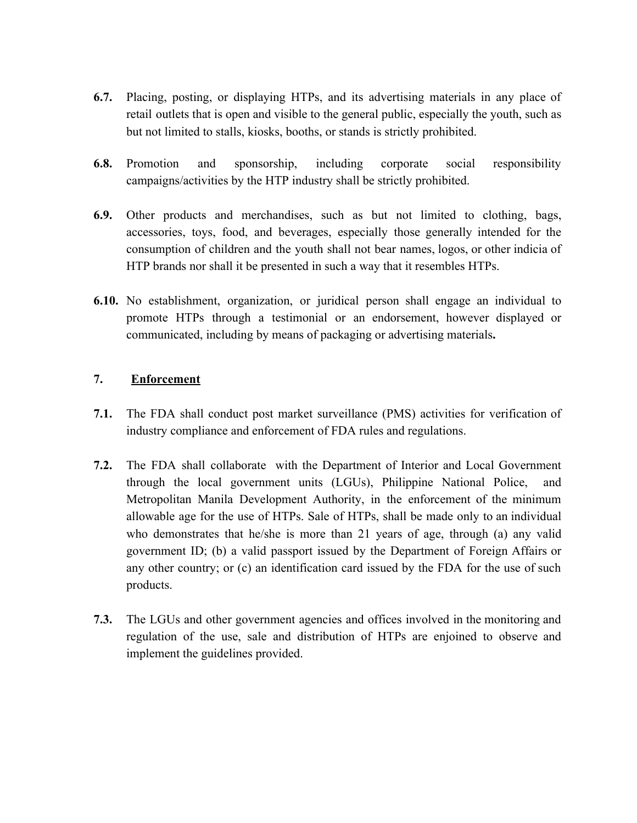- **6.7.** Placing, posting, or displaying HTPs, and its advertising materials in any place of retail outlets that is open and visible to the general public, especially the youth, such as but not limited to stalls, kiosks, booths, or stands is strictly prohibited.
- **6.8.** Promotion and sponsorship, including corporate social responsibility campaigns/activities by the HTP industry shall be strictly prohibited.
- **6.9.** Other products and merchandises, such as but not limited to clothing, bags, accessories, toys, food, and beverages, especially those generally intended for the consumption of children and the youth shall not bear names, logos, or other indicia of HTP brands nor shall it be presented in such a way that it resembles HTPs.
- **6.10.** No establishment, organization, or juridical person shall engage an individual to promote HTPs through a testimonial or an endorsement, however displayed or communicated, including by means of packaging or advertising materials**.**

## **7. Enforcement**

- **7.1.** The FDA shall conduct post market surveillance (PMS) activities for verification of industry compliance and enforcement of FDA rules and regulations.
- **7.2.** The FDA shall collaborate with the Department of Interior and Local Government through the local government units (LGUs), Philippine National Police, and Metropolitan Manila Development Authority, in the enforcement of the minimum allowable age for the use of HTPs. Sale of HTPs, shall be made only to an individual who demonstrates that he/she is more than 21 years of age, through (a) any valid government ID; (b) a valid passport issued by the Department of Foreign Affairs or any other country; or (c) an identification card issued by the FDA for the use of such products.
- **7.3.** The LGUs and other government agencies and offices involved in the monitoring and regulation of the use, sale and distribution of HTPs are enjoined to observe and implement the guidelines provided.